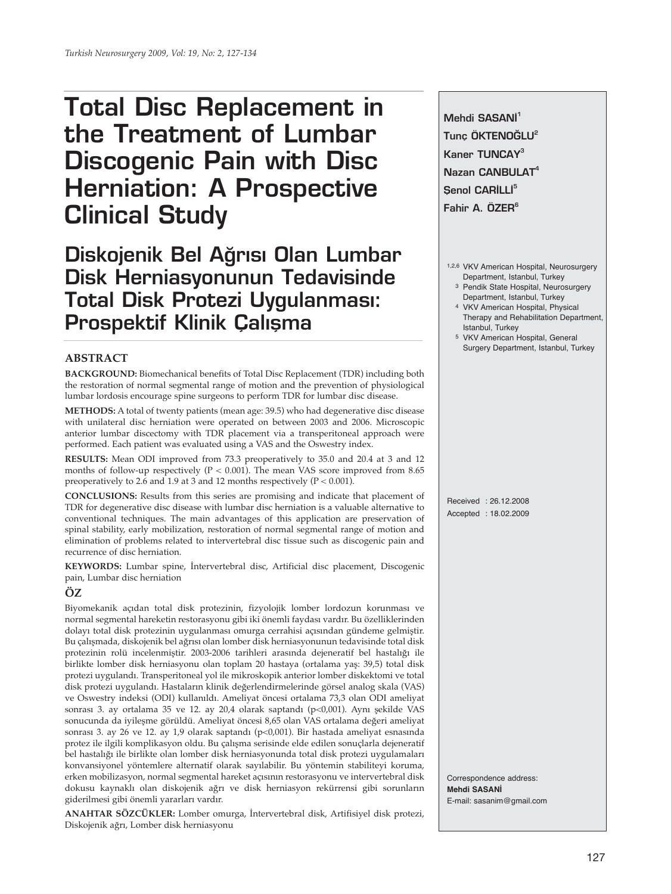# **Total Disc Replacement in the Treatment of Lumbar Discogenic Pain with Disc Herniation: A Prospective Clinical Study**

Diskojenik Bel Ağrısı Olan Lumbar **Disk Herniasyonunun Tedavisinde Total Disk Protezi Uygulanmas›: Prospektif Klinik Çalışma** 

## **ABSTRACT**

**BACKGROUND:** Biomechanical benefits of Total Disc Replacement (TDR) including both the restoration of normal segmental range of motion and the prevention of physiological lumbar lordosis encourage spine surgeons to perform TDR for lumbar disc disease.

**METHODS:** A total of twenty patients (mean age: 39.5) who had degenerative disc disease with unilateral disc herniation were operated on between 2003 and 2006. Microscopic anterior lumbar discectomy with TDR placement via a transperitoneal approach were performed. Each patient was evaluated using a VAS and the Oswestry index.

**RESULTS:** Mean ODI improved from 73.3 preoperatively to 35.0 and 20.4 at 3 and 12 months of follow-up respectively ( $P < 0.001$ ). The mean VAS score improved from 8.65 preoperatively to 2.6 and 1.9 at 3 and 12 months respectively ( $P < 0.001$ ).

**CONCLUSIONS:** Results from this series are promising and indicate that placement of TDR for degenerative disc disease with lumbar disc herniation is a valuable alternative to conventional techniques. The main advantages of this application are preservation of spinal stability, early mobilization, restoration of normal segmental range of motion and elimination of problems related to intervertebral disc tissue such as discogenic pain and recurrence of disc herniation.

**KEYWORDS:** Lumbar spine, İntervertebral disc, Artificial disc placement, Discogenic pain, Lumbar disc herniation

## **ÖZ**

Biyomekanik açıdan total disk protezinin, fizyolojik lomber lordozun korunması ve normal segmental hareketin restorasyonu gibi iki önemli faydası vardır. Bu özelliklerinden dolayı total disk protezinin uygulanması omurga cerrahisi açısından gündeme gelmiştir. Bu çalışmada, diskojenik bel ağrısı olan lomber disk herniasyonunun tedavisinde total disk protezinin rolü incelenmiştir. 2003-2006 tarihleri arasında dejeneratif bel hastalığı ile birlikte lomber disk herniasyonu olan toplam 20 hastaya (ortalama yaş: 39,5) total disk protezi uygulandı. Transperitoneal yol ile mikroskopik anterior lomber diskektomi ve total disk protezi uygulandı. Hastaların klinik değerlendirmelerinde görsel analog skala (VAS) ve Oswestry indeksi (ODI) kullanıldı. Ameliyat öncesi ortalama 73,3 olan ODI ameliyat sonrası 3. ay ortalama 35 ve 12. ay 20,4 olarak saptandı (p<0,001). Aynı şekilde VAS sonucunda da iyileşme görüldü. Ameliyat öncesi 8,65 olan VAS ortalama değeri ameliyat sonrası 3. ay 26 ve 12. ay 1,9 olarak saptandı (p<0,001). Bir hastada ameliyat esnasında protez ile ilgili komplikasyon oldu. Bu çalışma serisinde elde edilen sonuçlarla dejeneratif bel hastalığı ile birlikte olan lomber disk herniasyonunda total disk protezi uygulamaları konvansiyonel yöntemlere alternatif olarak sayılabilir. Bu yöntemin stabiliteyi koruma, erken mobilizasyon, normal segmental hareket açısının restorasyonu ve intervertebral disk dokusu kaynaklı olan diskojenik ağrı ve disk herniasyon rekürrensi gibi sorunların giderilmesi gibi önemli yararları vardır.

**ANAHTAR SÖZCÜKLER:** Lomber omurga, İntervertebral disk, Artifisiyel disk protezi, Diskojenik ağrı, Lomber disk herniasyonu

Mehdi SASANI<sup>1</sup> Tunc ÖKTENOĞLU<sup>2</sup> **Kaner TUNCAY3 Nazan CANBULAT4 Senol CARİLLİ<sup>5</sup>** Fahir A. ÖZER<sup>6</sup>

- 1,2,6 VKV American Hospital, Neurosurgery Department, Istanbul, Turkey
	- 3 Pendik State Hospital, Neurosurgery Department, Istanbul, Turkey
	- 4 VKV American Hospital, Physical Therapy and Rehabilitation Department, Istanbul, Turkey
	- 5 VKV American Hospital, General Surgery Department, Istanbul, Turkey

Received : 26.12.2008 Accepted : 18.02.2009

Correspondence address: **Mehdi SASANİ** E-mail: sasanim@gmail.com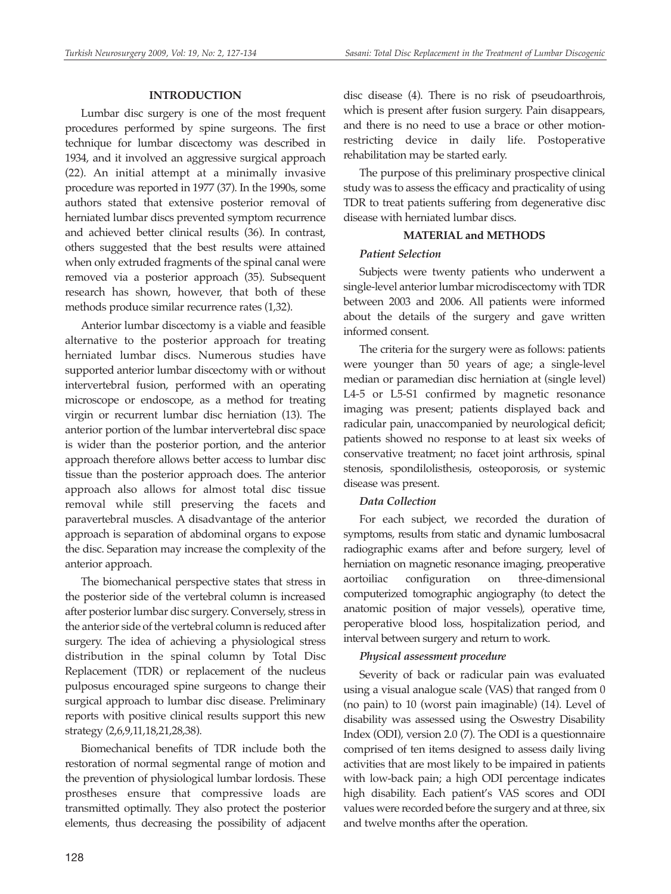### **INTRODUCTION**

Lumbar disc surgery is one of the most frequent procedures performed by spine surgeons. The first technique for lumbar discectomy was described in 1934, and it involved an aggressive surgical approach (22). An initial attempt at a minimally invasive procedure was reported in 1977 (37). In the 1990s, some authors stated that extensive posterior removal of herniated lumbar discs prevented symptom recurrence and achieved better clinical results (36). In contrast, others suggested that the best results were attained when only extruded fragments of the spinal canal were removed via a posterior approach (35). Subsequent research has shown, however, that both of these methods produce similar recurrence rates (1,32).

Anterior lumbar discectomy is a viable and feasible alternative to the posterior approach for treating herniated lumbar discs. Numerous studies have supported anterior lumbar discectomy with or without intervertebral fusion, performed with an operating microscope or endoscope, as a method for treating virgin or recurrent lumbar disc herniation (13). The anterior portion of the lumbar intervertebral disc space is wider than the posterior portion, and the anterior approach therefore allows better access to lumbar disc tissue than the posterior approach does. The anterior approach also allows for almost total disc tissue removal while still preserving the facets and paravertebral muscles. A disadvantage of the anterior approach is separation of abdominal organs to expose the disc. Separation may increase the complexity of the anterior approach.

The biomechanical perspective states that stress in the posterior side of the vertebral column is increased after posterior lumbar disc surgery. Conversely, stress in the anterior side of the vertebral column is reduced after surgery. The idea of achieving a physiological stress distribution in the spinal column by Total Disc Replacement (TDR) or replacement of the nucleus pulposus encouraged spine surgeons to change their surgical approach to lumbar disc disease. Preliminary reports with positive clinical results support this new strategy (2,6,9,11,18,21,28,38).

Biomechanical benefits of TDR include both the restoration of normal segmental range of motion and the prevention of physiological lumbar lordosis. These prostheses ensure that compressive loads are transmitted optimally. They also protect the posterior elements, thus decreasing the possibility of adjacent disc disease (4). There is no risk of pseudoarthrois, which is present after fusion surgery. Pain disappears, and there is no need to use a brace or other motionrestricting device in daily life. Postoperative rehabilitation may be started early.

The purpose of this preliminary prospective clinical study was to assess the efficacy and practicality of using TDR to treat patients suffering from degenerative disc disease with herniated lumbar discs.

## **MATERIAL and METHODS**

#### *Patient Selection*

Subjects were twenty patients who underwent a single-level anterior lumbar microdiscectomy with TDR between 2003 and 2006. All patients were informed about the details of the surgery and gave written informed consent.

The criteria for the surgery were as follows: patients were younger than 50 years of age; a single-level median or paramedian disc herniation at (single level) L4-5 or L5-S1 confirmed by magnetic resonance imaging was present; patients displayed back and radicular pain, unaccompanied by neurological deficit; patients showed no response to at least six weeks of conservative treatment; no facet joint arthrosis, spinal stenosis, spondilolisthesis, osteoporosis, or systemic disease was present.

## *Data Collection*

For each subject, we recorded the duration of symptoms, results from static and dynamic lumbosacral radiographic exams after and before surgery, level of herniation on magnetic resonance imaging, preoperative aortoiliac configuration on three-dimensional computerized tomographic angiography (to detect the anatomic position of major vessels), operative time, peroperative blood loss, hospitalization period, and interval between surgery and return to work.

#### *Physical assessment procedure*

Severity of back or radicular pain was evaluated using a visual analogue scale (VAS) that ranged from 0 (no pain) to 10 (worst pain imaginable) (14). Level of disability was assessed using the Oswestry Disability Index (ODI), version 2.0 (7). The ODI is a questionnaire comprised of ten items designed to assess daily living activities that are most likely to be impaired in patients with low-back pain; a high ODI percentage indicates high disability. Each patient's VAS scores and ODI values were recorded before the surgery and at three, six and twelve months after the operation.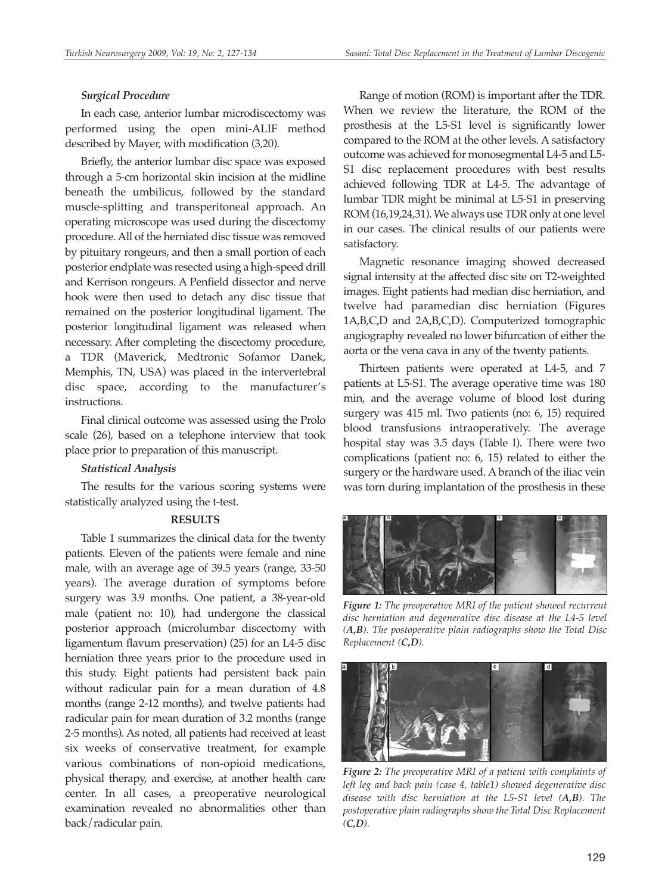#### *Surgical Procedure*

In each case, anterior lumbar microdiscectomy was performed using the open mini-ALIF method described by Mayer, with modification (3,20).

Briefly, the anterior lumbar disc space was exposed through a 5-cm horizontal skin incision at the midline beneath the umbilicus, followed by the standard muscle-splitting and transperitoneal approach. An operating microscope was used during the discectomy procedure. All of the herniated disc tissue was removed by pituitary rongeurs, and then a small portion of each posterior endplate was resected using a high-speed drill and Kerrison rongeurs. A Penfield dissector and nerve hook were then used to detach any disc tissue that remained on the posterior longitudinal ligament. The posterior longitudinal ligament was released when necessary. After completing the discectomy procedure, a TDR (Maverick, Medtronic Sofamor Danek, Memphis, TN, USA) was placed in the intervertebral disc space, according to the manufacturer's instructions.

Final clinical outcome was assessed using the Prolo scale (26), based on a telephone interview that took place prior to preparation of this manuscript.

#### *Statistical Analysis*

The results for the various scoring systems were statistically analyzed using the t-test.

## **RESULTS**

Table 1 summarizes the clinical data for the twenty patients. Eleven of the patients were female and nine male, with an average age of 39.5 years (range, 33-50 years). The average duration of symptoms before surgery was 3.9 months. One patient, a 38-year-old male (patient no: 10), had undergone the classical posterior approach (microlumbar discectomy with ligamentum flavum preservation) (25) for an L4-5 disc herniation three years prior to the procedure used in this study. Eight patients had persistent back pain without radicular pain for a mean duration of 4.8 months (range 2-12 months), and twelve patients had radicular pain for mean duration of 3.2 months (range 2-5 months). As noted, all patients had received at least six weeks of conservative treatment, for example various combinations of non-opioid medications, physical therapy, and exercise, at another health care center. In all cases, a preoperative neurological examination revealed no abnormalities other than back/radicular pain.

Range of motion (ROM) is important after the TDR. When we review the literature, the ROM of the prosthesis at the L5-S1 level is significantly lower compared to the ROM at the other levels. A satisfactory outcome was achieved for monosegmental L4-5 and L5- S1 disc replacement procedures with best results achieved following TDR at L4-5. The advantage of lumbar TDR might be minimal at L5-S1 in preserving ROM (16,19,24,31). We always use TDR only at one level in our cases. The clinical results of our patients were satisfactory.

Magnetic resonance imaging showed decreased signal intensity at the affected disc site on T2-weighted images. Eight patients had median disc herniation, and twelve had paramedian disc herniation (Figures 1A,B,C,D and 2A,B,C,D). Computerized tomographic angiography revealed no lower bifurcation of either the aorta or the vena cava in any of the twenty patients.

Thirteen patients were operated at L4-5, and 7 patients at L5-S1. The average operative time was 180 min, and the average volume of blood lost during surgery was 415 ml. Two patients (no: 6, 15) required blood transfusions intraoperatively. The average hospital stay was 3.5 days (Table I). There were two complications (patient no: 6, 15) related to either the surgery or the hardware used. A branch of the iliac vein was torn during implantation of the prosthesis in these



*Figure 1: The preoperative MRI of the patient showed recurrent disc herniation and degenerative disc disease at the L4-5 level (A,B). The postoperative plain radiographs show the Total Disc Replacement (C,D).*



*Figure 2: The preoperative MRI of a patient with complaints of left leg and back pain (case 4, table1) showed degenerative disc disease with disc herniation at the L5-S1 level (A,B). The postoperative plain radiographs show the Total Disc Replacement (C,D).*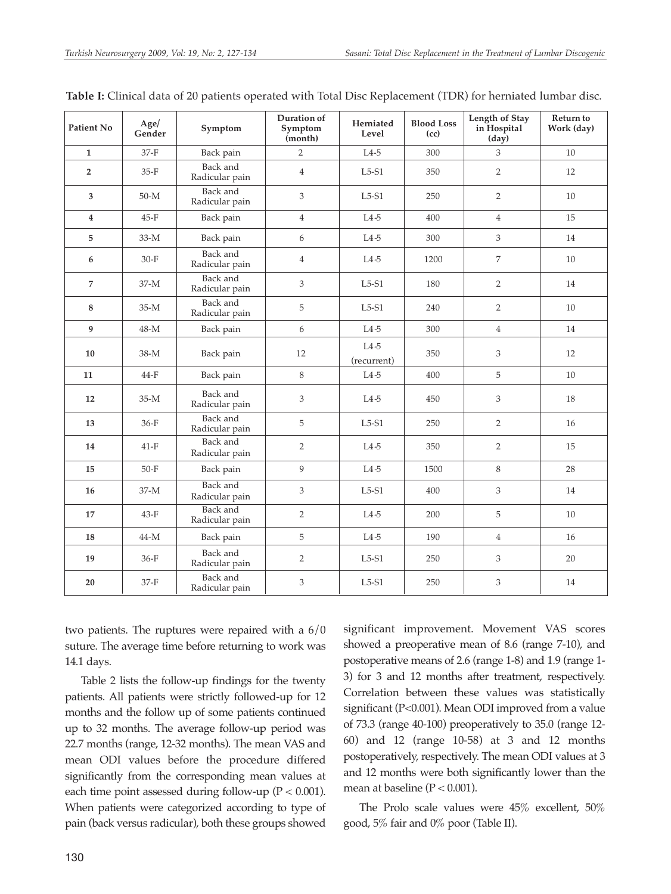| <b>Patient No</b> | Age/<br>Gender | Symptom                           | Duration of<br>Symptom<br>(month) | <b>Blood Loss</b><br>Herniated<br>Level<br>(cc) |      | Length of Stay<br>in Hospital<br>(day) | Return to<br>Work (day) |  |
|-------------------|----------------|-----------------------------------|-----------------------------------|-------------------------------------------------|------|----------------------------------------|-------------------------|--|
| $\mathbf{1}$      | $37-F$         | Back pain                         | $\overline{2}$                    | $L4-5$                                          | 300  | 3                                      | 10                      |  |
| $\overline{2}$    | $35-F$         | Back and<br>Radicular pain        | $\overline{4}$                    | $L5-S1$<br>350                                  |      | $\overline{2}$                         | 12                      |  |
| 3                 | $50-M$         | <b>Back</b> and<br>Radicular pain | 3                                 | $L5-S1$                                         | 250  | $\overline{2}$                         | 10                      |  |
| $\overline{4}$    | $45-F$         | Back pain                         | $\overline{4}$                    | $L4-5$                                          | 400  | $\overline{4}$                         | 15                      |  |
| 5                 | $33-M$         | Back pain                         | 6                                 | $L4-5$                                          | 300  | 3                                      | 14                      |  |
| 6                 | $30-F$         | Back and<br>Radicular pain        | $\overline{4}$                    | $L4-5$                                          | 1200 | 7                                      | 10                      |  |
| $\overline{7}$    | $37-M$         | Back and<br>Radicular pain        | $\overline{3}$                    | $L5-S1$                                         | 180  | $\overline{2}$                         | 14                      |  |
| 8                 | $35-M$         | Back and<br>Radicular pain        | 5                                 | $L5-S1$                                         | 240  | $\overline{2}$                         | 10                      |  |
| 9                 | $48-M$         | Back pain                         | 6                                 | $L4-5$                                          | 300  | $\overline{4}$                         | 14                      |  |
| 10                | $38-M$         | Back pain                         | 12                                | $L4-5$<br>(recurrent)                           | 350  | 3                                      | 12                      |  |
| 11                | $44-F$         | Back pain                         | 8                                 | $L4-5$                                          | 400  | 5                                      | 10                      |  |
| 12                | $35-M$         | Back and<br>Radicular pain        | 3                                 | $L4-5$                                          | 450  | 3                                      | 18                      |  |
| 13                | $36-F$         | Back and<br>Radicular pain        | 5                                 | $L5-S1$                                         | 250  | $\overline{2}$                         | 16                      |  |
| 14                | $41-F$         | Back and<br>Radicular pain        | $\overline{2}$                    | $L4-5$                                          | 350  | $\overline{2}$                         | 15                      |  |
| 15                | $50-F$         | Back pain                         | 9                                 | $L4-5$                                          | 1500 | 8                                      | 28                      |  |
| 16                | $37-M$         | Back and<br>Radicular pain        | 3                                 | $L5-S1$                                         | 400  | 3                                      | 14                      |  |
| 17                | $43-F$         | Back and<br>Radicular pain        | $\overline{2}$                    | $L4-5$                                          | 200  | 5                                      | 10                      |  |
| 18                | $44-M$         | Back pain                         | 5                                 | $L4-5$                                          | 190  | $\overline{4}$                         | 16                      |  |
| 19                | $36-F$         | Back and<br>Radicular pain        | $\overline{2}$                    | $L5-S1$                                         | 250  | 3                                      | 20                      |  |
| 20                | $37-F$         | Back and<br>Radicular pain        | 3                                 | $L5-S1$                                         | 250  | 3                                      | 14                      |  |

|  |  |  | Table I: Clinical data of 20 patients operated with Total Disc Replacement (TDR) for herniated lumbar disc. |
|--|--|--|-------------------------------------------------------------------------------------------------------------|
|--|--|--|-------------------------------------------------------------------------------------------------------------|

two patients. The ruptures were repaired with a 6/0 suture. The average time before returning to work was 14.1 days.

Table 2 lists the follow-up findings for the twenty patients. All patients were strictly followed-up for 12 months and the follow up of some patients continued up to 32 months. The average follow-up period was 22.7 months (range, 12-32 months). The mean VAS and mean ODI values before the procedure differed significantly from the corresponding mean values at each time point assessed during follow-up ( $P < 0.001$ ). When patients were categorized according to type of pain (back versus radicular), both these groups showed significant improvement. Movement VAS scores showed a preoperative mean of 8.6 (range 7-10), and postoperative means of 2.6 (range 1-8) and 1.9 (range 1- 3) for 3 and 12 months after treatment, respectively. Correlation between these values was statistically significant (P<0.001). Mean ODI improved from a value of 73.3 (range 40-100) preoperatively to 35.0 (range 12- 60) and 12 (range 10-58) at 3 and 12 months postoperatively, respectively. The mean ODI values at 3 and 12 months were both significantly lower than the mean at baseline  $(P < 0.001)$ .

The Prolo scale values were 45% excellent, 50% good, 5% fair and 0% poor (Table II).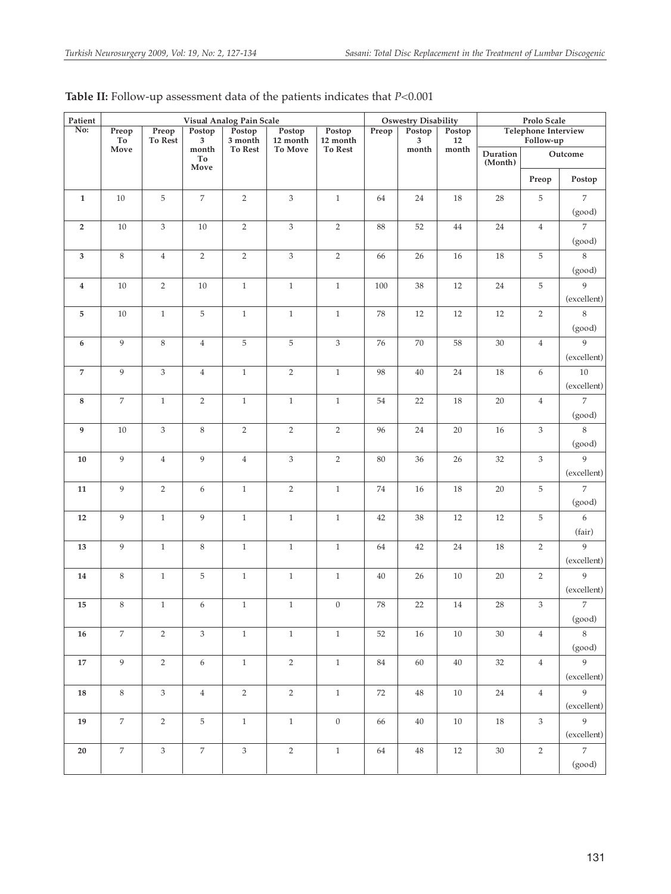| Patient                 | Visual Analog Pain Scale |                           |                                                                    |                              |                               | <b>Oswestry Disability</b>           |            |                      | Prolo Scale           |                                         |                |                            |
|-------------------------|--------------------------|---------------------------|--------------------------------------------------------------------|------------------------------|-------------------------------|--------------------------------------|------------|----------------------|-----------------------|-----------------------------------------|----------------|----------------------------|
| $\overline{\text{No:}}$ | Preop<br>To              | Preop<br>To Rest          | Postop<br>3<br>$\mathop{\rm month}\nolimits$<br>To<br>${\bf Move}$ | Postop<br>3 month<br>To Rest | Postop<br>12 month<br>To Move | Postop<br>12 month<br><b>To Rest</b> | Preop      | Postop<br>3<br>month | Postop<br>12<br>month | <b>Telephone Interview</b><br>Follow-up |                |                            |
|                         | Move                     |                           |                                                                    |                              |                               |                                      |            |                      |                       | Duration<br>(Month)                     | $\rm Outcome$  |                            |
|                         |                          |                           |                                                                    |                              |                               |                                      |            |                      |                       |                                         | Preop          | Postop                     |
| $\mathbf{1}$            | $10\,$                   | $\mathbf 5$               | $\boldsymbol{7}$                                                   | $\sqrt{2}$                   | $\ensuremath{\mathsf{3}}$     | $\,1\,$                              | 64         | $24\,$               | 18                    | 28                                      | $\,$ 5 $\,$    | $\,7$                      |
|                         |                          |                           |                                                                    |                              |                               |                                      |            |                      |                       |                                         |                | (good)                     |
| $\overline{2}$          | 10                       | $\mathfrak{Z}$            | $10\,$                                                             | $\overline{2}$               | 3                             | $\sqrt{2}$                           | 88         | 52                   | 44                    | 24                                      | $\overline{4}$ | $\overline{7}$             |
|                         |                          |                           |                                                                    |                              |                               |                                      |            |                      |                       |                                         |                | (good)                     |
| $\mathbf{3}$            | $\,8\,$                  | $\overline{4}$            | $\overline{2}$                                                     | $\overline{2}$               | $\mathfrak{Z}$                | $\overline{2}$                       | 66         | 26                   | 16                    | 18                                      | 5              | $\,$ 8 $\,$                |
|                         |                          |                           |                                                                    |                              |                               |                                      |            |                      |                       |                                         |                | (good)                     |
| $\overline{\mathbf{4}}$ | $10\,$                   | $\sqrt{2}$                | $10\,$                                                             | $\,1$                        | $\,1\,$                       | $\,1\,$                              | 100        | 38                   | 12                    | $24\,$                                  | 5              | 9                          |
|                         |                          |                           |                                                                    |                              |                               |                                      |            |                      |                       |                                         |                | (excellent)                |
| 5                       | $10\,$                   | $1\,$                     | $\mathbf 5$                                                        | $\,1\,$                      | $\,1\,$                       | $\,1\,$                              | 78         | 12                   | 12                    | 12                                      | $\sqrt{2}$     | $\,$ 8 $\,$                |
|                         |                          |                           |                                                                    |                              |                               |                                      |            |                      |                       |                                         |                | (good)<br>9                |
| $\boldsymbol{6}$        | 9                        | $\,8\,$                   | $\overline{4}$                                                     | $\mathbf 5$                  | $\mathbf 5$                   | $\ensuremath{\mathsf{3}}$            | 76         | 70                   | 58                    | $30\,$                                  | $\overline{4}$ | (excellent)                |
| $\overline{7}$          | 9                        | $\ensuremath{\mathbf{3}}$ | $\overline{4}$                                                     | $\mathbf{1}$                 | $\sqrt{2}$                    | $\mathbf{1}$                         | 98         | 40                   | 24                    | 18                                      | 6              | $10$                       |
|                         |                          |                           |                                                                    |                              |                               |                                      |            |                      |                       |                                         |                | (excellent)                |
| $\bf 8$                 | $\overline{7}$           | $\,1\,$                   | $\sqrt{2}$                                                         | $\,1\,$                      | $\,1\,$                       | $\,1\,$                              | 54         | $22\,$               | 18                    | $20\,$                                  | $\,4$          | $\overline{7}$             |
|                         |                          |                           |                                                                    |                              |                               |                                      |            |                      |                       |                                         |                | (good)                     |
| 9                       | 10                       | $\mathfrak{Z}$            | $\,8\,$                                                            | $\,2$                        | $\sqrt{2}$                    | $\sqrt{2}$                           | 96         | 24                   | $20\,$                | $16\,$                                  | $\mathfrak{Z}$ | 8                          |
|                         |                          |                           |                                                                    |                              |                               |                                      |            |                      |                       |                                         |                | (good)                     |
| $10\,$                  | $\,9$                    | $\overline{4}$            | $\boldsymbol{9}$                                                   | $\,4$                        | $\ensuremath{\mathfrak{Z}}$   | $\sqrt{2}$                           | 80         | 36                   | 26                    | 32                                      | $\sqrt{3}$     | 9                          |
|                         |                          |                           |                                                                    |                              |                               |                                      |            |                      |                       |                                         |                | (excellent)                |
| $11\,$                  | 9                        | $\sqrt{2}$                | $\boldsymbol{6}$                                                   | $\,1\,$                      | $\,2$                         | $\,1\,$                              | $74\,$     | $16\,$               | 18                    | $20\,$                                  | 5              | $\overline{7}$             |
|                         |                          |                           |                                                                    |                              |                               |                                      |            |                      |                       |                                         |                | (good)                     |
| 12                      | $\boldsymbol{9}$         | $\,1\,$                   | 9                                                                  | $\,1\,$                      | $\,1\,$                       | $\,1\,$                              | 42         | 38                   | $12\,$                | $12\,$                                  | $\,$ 5 $\,$    | $\boldsymbol{6}$           |
|                         |                          |                           |                                                                    |                              |                               |                                      |            |                      |                       |                                         |                | (fair)                     |
| 13                      | 9                        | $\,1\,$                   | $\,$ 8 $\,$                                                        | $\,1\,$                      | $1\,$                         | $\,1\,$                              | 64         | 42                   | 24                    | 18                                      | $\sqrt{2}$     | $\,9$                      |
|                         |                          |                           |                                                                    |                              |                               |                                      |            |                      |                       |                                         |                | (excellent)<br>9           |
| 14                      | $\,$ 8 $\,$              | $\,1\,$                   | $\mathbf 5$                                                        | $\,1\,$                      | $\,1\,$                       | $\,1\,$                              | $40\,$     | 26                   | 10                    | 20                                      | $\sqrt{2}$     | (excellent)                |
| 15                      | $\,$ 8 $\,$              | $\,1\,$                   | 6                                                                  | $\mathbf{1}$                 | $\mathbf{1}$                  | $\boldsymbol{0}$                     | ${\bf 78}$ | $22\,$               | $14\,$                | 28                                      | 3              | $\overline{7}$             |
|                         |                          |                           |                                                                    |                              |                               |                                      |            |                      |                       |                                         |                | $\left(\text{good}\right)$ |
| 16                      | $\,7$                    | $\overline{2}$            | $\mathfrak{Z}$                                                     | $\,1$                        | $\,1\,$                       | $\,1\,$                              | 52         | $16\,$               | 10                    | $30\,$                                  | $\,4\,$        | $8\,$                      |
|                         |                          |                           |                                                                    |                              |                               |                                      |            |                      |                       |                                         |                | (good)                     |
| 17                      | $\overline{9}$           | $\sqrt{2}$                | $\boldsymbol{6}$                                                   | $\mathbf{1}$                 | $\sqrt{2}$                    | $1\,$                                | 84         | 60                   | 40                    | 32                                      | $\overline{4}$ | 9                          |
|                         |                          |                           |                                                                    |                              |                               |                                      |            |                      |                       |                                         |                | (excellent)                |
| 18                      | $8\,$                    | $\mathfrak{Z}$            | $\overline{4}$                                                     | $\overline{2}$               | $\sqrt{2}$                    | $\mathbf{1}$                         | 72         | 48                   | 10                    | 24                                      | $\overline{4}$ | $\overline{9}$             |
|                         |                          |                           |                                                                    |                              |                               |                                      |            |                      |                       |                                         |                | (excellent)                |
| 19                      | $\,7$                    | $\overline{2}$            | $\sqrt{5}$                                                         | $\,1$                        | $\,1$                         | $\boldsymbol{0}$                     | 66         | 40                   | 10                    | 18                                      | $\mathfrak{Z}$ | $\mathbf{Q}$               |
|                         |                          |                           |                                                                    |                              |                               |                                      |            |                      |                       |                                         |                | (excellent)                |
| 20                      | $\,7$                    | $\mathfrak{Z}$            | $\,7$                                                              | $\mathfrak{Z}$               | $\sqrt{2}$                    | $1\,$                                | 64         | 48                   | 12                    | 30                                      | $\overline{2}$ | $\overline{7}$             |
|                         |                          |                           |                                                                    |                              |                               |                                      |            |                      |                       |                                         |                | (good)                     |

**Table II:** Follow-up assessment data of the patients indicates that *P*<0.001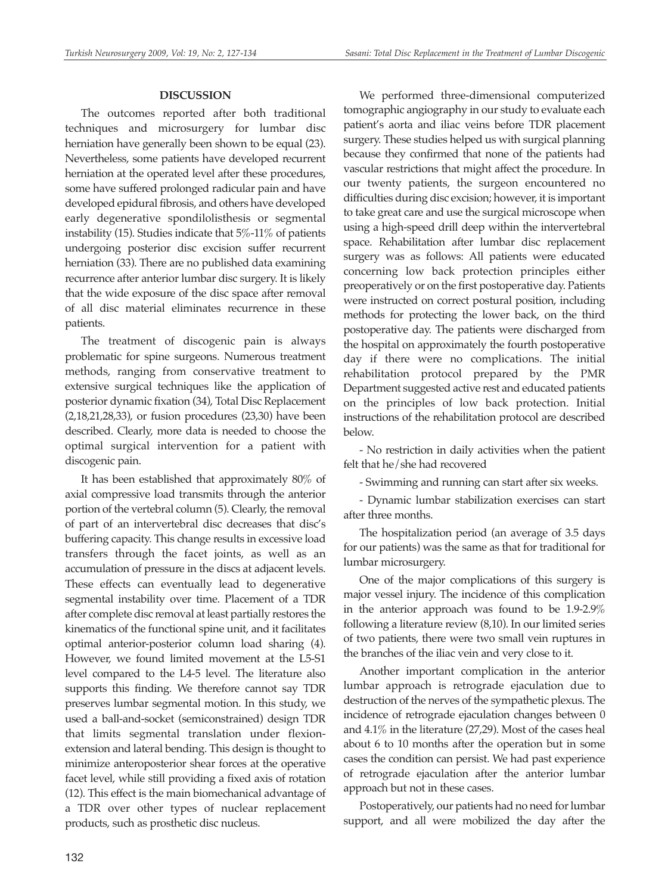#### **DISCUSSION**

The outcomes reported after both traditional techniques and microsurgery for lumbar disc herniation have generally been shown to be equal (23). Nevertheless, some patients have developed recurrent herniation at the operated level after these procedures, some have suffered prolonged radicular pain and have developed epidural fibrosis, and others have developed early degenerative spondilolisthesis or segmental instability (15). Studies indicate that 5%-11% of patients undergoing posterior disc excision suffer recurrent herniation (33). There are no published data examining recurrence after anterior lumbar disc surgery. It is likely that the wide exposure of the disc space after removal of all disc material eliminates recurrence in these patients.

The treatment of discogenic pain is always problematic for spine surgeons. Numerous treatment methods, ranging from conservative treatment to extensive surgical techniques like the application of posterior dynamic fixation (34), Total Disc Replacement (2,18,21,28,33), or fusion procedures (23,30) have been described. Clearly, more data is needed to choose the optimal surgical intervention for a patient with discogenic pain.

It has been established that approximately 80% of axial compressive load transmits through the anterior portion of the vertebral column (5). Clearly, the removal of part of an intervertebral disc decreases that disc's buffering capacity. This change results in excessive load transfers through the facet joints, as well as an accumulation of pressure in the discs at adjacent levels. These effects can eventually lead to degenerative segmental instability over time. Placement of a TDR after complete disc removal at least partially restores the kinematics of the functional spine unit, and it facilitates optimal anterior-posterior column load sharing (4). However, we found limited movement at the L5-S1 level compared to the L4-5 level. The literature also supports this finding. We therefore cannot say TDR preserves lumbar segmental motion. In this study, we used a ball-and-socket (semiconstrained) design TDR that limits segmental translation under flexionextension and lateral bending. This design is thought to minimize anteroposterior shear forces at the operative facet level, while still providing a fixed axis of rotation (12). This effect is the main biomechanical advantage of a TDR over other types of nuclear replacement products, such as prosthetic disc nucleus.

We performed three-dimensional computerized tomographic angiography in our study to evaluate each patient's aorta and iliac veins before TDR placement surgery. These studies helped us with surgical planning because they confirmed that none of the patients had vascular restrictions that might affect the procedure. In our twenty patients, the surgeon encountered no difficulties during disc excision; however, it is important to take great care and use the surgical microscope when using a high-speed drill deep within the intervertebral space. Rehabilitation after lumbar disc replacement surgery was as follows: All patients were educated concerning low back protection principles either preoperatively or on the first postoperative day. Patients were instructed on correct postural position, including methods for protecting the lower back, on the third postoperative day. The patients were discharged from the hospital on approximately the fourth postoperative day if there were no complications. The initial rehabilitation protocol prepared by the PMR Department suggested active rest and educated patients on the principles of low back protection. Initial instructions of the rehabilitation protocol are described below.

- No restriction in daily activities when the patient felt that he/she had recovered

- Swimming and running can start after six weeks.

- Dynamic lumbar stabilization exercises can start after three months.

The hospitalization period (an average of 3.5 days for our patients) was the same as that for traditional for lumbar microsurgery.

One of the major complications of this surgery is major vessel injury. The incidence of this complication in the anterior approach was found to be 1.9-2.9% following a literature review (8,10). In our limited series of two patients, there were two small vein ruptures in the branches of the iliac vein and very close to it.

Another important complication in the anterior lumbar approach is retrograde ejaculation due to destruction of the nerves of the sympathetic plexus. The incidence of retrograde ejaculation changes between 0 and 4.1% in the literature (27,29). Most of the cases heal about 6 to 10 months after the operation but in some cases the condition can persist. We had past experience of retrograde ejaculation after the anterior lumbar approach but not in these cases.

Postoperatively, our patients had no need for lumbar support, and all were mobilized the day after the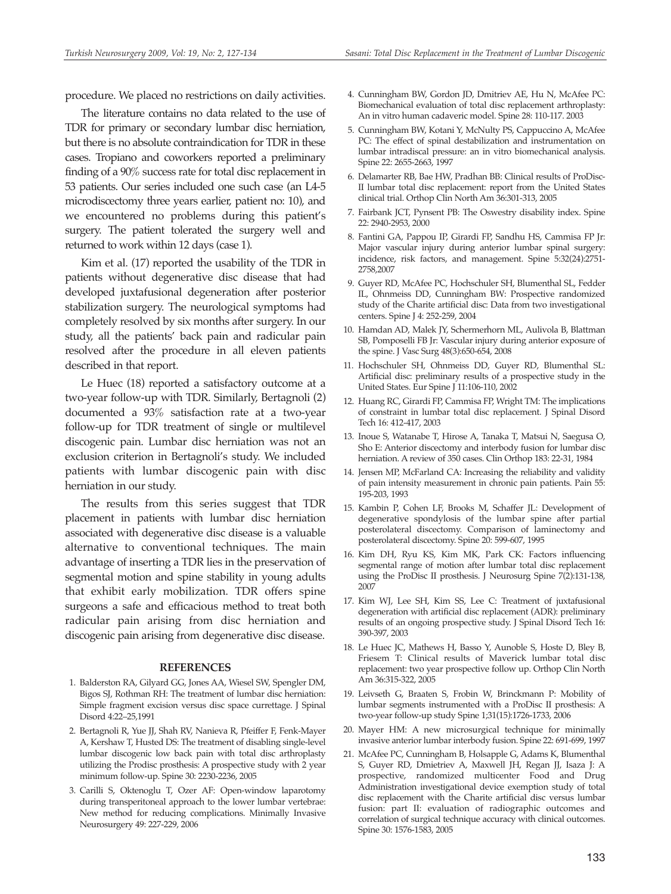procedure. We placed no restrictions on daily activities.

The literature contains no data related to the use of TDR for primary or secondary lumbar disc herniation, but there is no absolute contraindication for TDR in these cases. Tropiano and coworkers reported a preliminary finding of a 90% success rate for total disc replacement in 53 patients. Our series included one such case (an L4-5 microdiscectomy three years earlier, patient no: 10), and we encountered no problems during this patient's surgery. The patient tolerated the surgery well and returned to work within 12 days (case 1).

Kim et al. (17) reported the usability of the TDR in patients without degenerative disc disease that had developed juxtafusional degeneration after posterior stabilization surgery. The neurological symptoms had completely resolved by six months after surgery. In our study, all the patients' back pain and radicular pain resolved after the procedure in all eleven patients described in that report.

Le Huec (18) reported a satisfactory outcome at a two-year follow-up with TDR. Similarly, Bertagnoli (2) documented a 93% satisfaction rate at a two-year follow-up for TDR treatment of single or multilevel discogenic pain. Lumbar disc herniation was not an exclusion criterion in Bertagnoli's study. We included patients with lumbar discogenic pain with disc herniation in our study.

The results from this series suggest that TDR placement in patients with lumbar disc herniation associated with degenerative disc disease is a valuable alternative to conventional techniques. The main advantage of inserting a TDR lies in the preservation of segmental motion and spine stability in young adults that exhibit early mobilization. TDR offers spine surgeons a safe and efficacious method to treat both radicular pain arising from disc herniation and discogenic pain arising from degenerative disc disease.

#### **REFERENCES**

- 1. Balderston RA, Gilyard GG, Jones AA, Wiesel SW, Spengler DM, Bigos SJ, Rothman RH: The treatment of lumbar disc herniation: Simple fragment excision versus disc space currettage. J Spinal Disord 4:22–25,1991
- 2. Bertagnoli R, Yue JJ, Shah RV, Nanieva R, Pfeiffer F, Fenk-Mayer A, Kershaw T, Husted DS: The treatment of disabling single-level lumbar discogenic low back pain with total disc arthroplasty utilizing the Prodisc prosthesis: A prospective study with 2 year minimum follow-up. Spine 30: 2230-2236, 2005
- 3. Carilli S, Oktenoglu T, Ozer AF: Open-window laparotomy during transperitoneal approach to the lower lumbar vertebrae: New method for reducing complications. Minimally Invasive Neurosurgery 49: 227-229, 2006
- 4. Cunningham BW, Gordon JD, Dmitriev AE, Hu N, McAfee PC: Biomechanical evaluation of total disc replacement arthroplasty: An in vitro human cadaveric model. Spine 28: 110-117. 2003
- 5. Cunningham BW, Kotani Y, McNulty PS, Cappuccino A, McAfee PC: The effect of spinal destabilization and instrumentation on lumbar intradiscal pressure: an in vitro biomechanical analysis. Spine 22: 2655-2663, 1997
- 6. Delamarter RB, Bae HW, Pradhan BB: Clinical results of ProDisc-II lumbar total disc replacement: report from the United States clinical trial. Orthop Clin North Am 36:301-313, 2005
- 7. Fairbank JCT, Pynsent PB: The Oswestry disability index. Spine 22: 2940-2953, 2000
- 8. Fantini GA, Pappou IP, Girardi FP, Sandhu HS, Cammisa FP Jr: Major vascular injury during anterior lumbar spinal surgery: incidence, risk factors, and management. Spine 5:32(24):2751- 2758,2007
- 9. Guyer RD, McAfee PC, Hochschuler SH, Blumenthal SL, Fedder IL, Ohnmeiss DD, Cunningham BW: Prospective randomized study of the Charite artificial disc: Data from two investigational centers. Spine J 4: 252-259, 2004
- 10. Hamdan AD, Malek JY, Schermerhorn ML, Aulivola B, Blattman SB, Pomposelli FB Jr: Vascular injury during anterior exposure of the spine. J Vasc Surg 48(3):650-654, 2008
- 11. Hochschuler SH, Ohnmeiss DD, Guyer RD, Blumenthal SL: Artificial disc: preliminary results of a prospective study in the United States. Eur Spine J 11:106-110, 2002
- 12. Huang RC, Girardi FP, Cammisa FP, Wright TM: The implications of constraint in lumbar total disc replacement. J Spinal Disord Tech 16: 412-417, 2003
- 13. Inoue S, Watanabe T, Hirose A, Tanaka T, Matsui N, Saegusa O, Sho E: Anterior discectomy and interbody fusion for lumbar disc herniation. A review of 350 cases. Clin Orthop 183: 22-31, 1984
- 14. Jensen MP, McFarland CA: Increasing the reliability and validity of pain intensity measurement in chronic pain patients. Pain 55: 195-203, 1993
- 15. Kambin P, Cohen LF, Brooks M, Schaffer JL: Development of degenerative spondylosis of the lumbar spine after partial posterolateral discectomy. Comparison of laminectomy and posterolateral discectomy. Spine 20: 599-607, 1995
- 16. Kim DH, Ryu KS, Kim MK, Park CK: Factors influencing segmental range of motion after lumbar total disc replacement using the ProDisc II prosthesis. J Neurosurg Spine 7(2):131-138, 2007
- 17. Kim WJ, Lee SH, Kim SS, Lee C: Treatment of juxtafusional degeneration with artificial disc replacement (ADR): preliminary results of an ongoing prospective study. J Spinal Disord Tech 16: 390-397, 2003
- 18. Le Huec JC, Mathews H, Basso Y, Aunoble S, Hoste D, Bley B, Friesem T: Clinical results of Maverick lumbar total disc replacement: two year prospective follow up. Orthop Clin North Am 36:315-322, 2005
- 19. Leivseth G, Braaten S, Frobin W, Brinckmann P: Mobility of lumbar segments instrumented with a ProDisc II prosthesis: A two-year follow-up study Spine 1;31(15):1726-1733, 2006
- 20. Mayer HM: A new microsurgical technique for minimally invasive anterior lumbar interbody fusion. Spine 22: 691-699, 1997
- 21. McAfee PC, Cunningham B, Holsapple G, Adams K, Blumenthal S, Guyer RD, Dmietriev A, Maxwell JH, Regan JJ, Isaza J: A prospective, randomized multicenter Food and Drug Administration investigational device exemption study of total disc replacement with the Charite artificial disc versus lumbar fusion: part II: evaluation of radiographic outcomes and correlation of surgical technique accuracy with clinical outcomes. Spine 30: 1576-1583, 2005